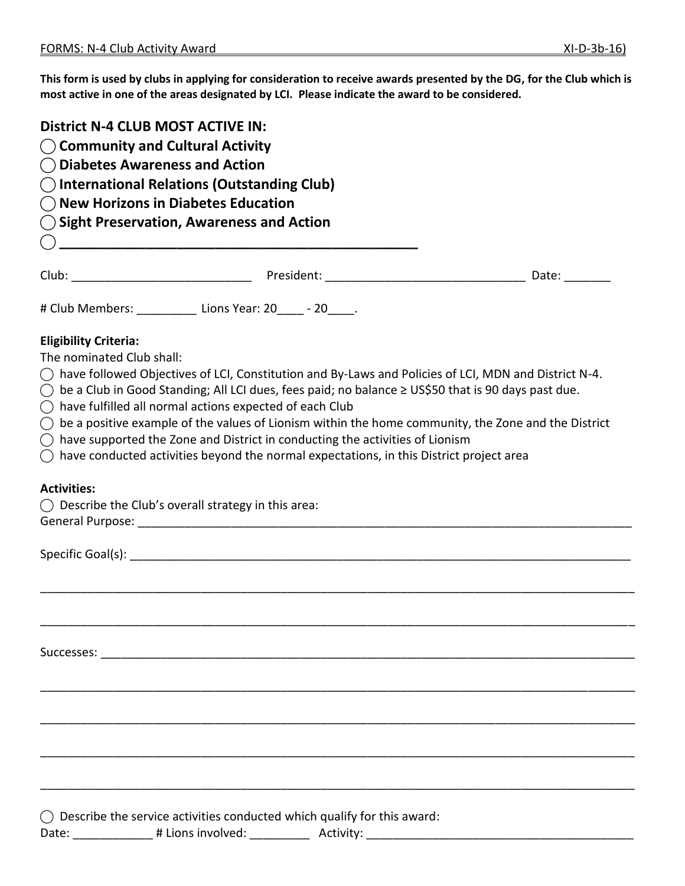**This form is used by clubs in applying for consideration to receive awards presented by the DG, for the Club which is most active in one of the areas designated by LCI. Please indicate the award to be considered.**

- **⃝ Community and Cultural Activity**
- **⃝ Diabetes Awareness and Action**
- **⃝ International Relations (Outstanding Club)**
- **⃝ New Horizons in Diabetes Education**
- **⃝ Sight Preservation, Awareness and Action**

|                                                                              | # Club Members: _____________ Lions Year: 20_____ - 20_____.                                                                                                                                                                                                                                                                                                                                                                                                                                                                                                                                                   |  |
|------------------------------------------------------------------------------|----------------------------------------------------------------------------------------------------------------------------------------------------------------------------------------------------------------------------------------------------------------------------------------------------------------------------------------------------------------------------------------------------------------------------------------------------------------------------------------------------------------------------------------------------------------------------------------------------------------|--|
| <b>Eligibility Criteria:</b><br>The nominated Club shall:<br>$\left(\right)$ | $\bigcirc$ have followed Objectives of LCI, Constitution and By-Laws and Policies of LCI, MDN and District N-4.<br>be a Club in Good Standing; All LCI dues, fees paid; no balance ≥ US\$50 that is 90 days past due.<br>$\bigcirc$ have fulfilled all normal actions expected of each Club<br>$\bigcirc$ be a positive example of the values of Lionism within the home community, the Zone and the District<br>$\bigcirc$ have supported the Zone and District in conducting the activities of Lionism<br>$\bigcirc$ have conducted activities beyond the normal expectations, in this District project area |  |
| <b>Activities:</b>                                                           | $\bigcirc$ Describe the Club's overall strategy in this area:                                                                                                                                                                                                                                                                                                                                                                                                                                                                                                                                                  |  |
|                                                                              |                                                                                                                                                                                                                                                                                                                                                                                                                                                                                                                                                                                                                |  |
|                                                                              |                                                                                                                                                                                                                                                                                                                                                                                                                                                                                                                                                                                                                |  |
|                                                                              |                                                                                                                                                                                                                                                                                                                                                                                                                                                                                                                                                                                                                |  |
|                                                                              |                                                                                                                                                                                                                                                                                                                                                                                                                                                                                                                                                                                                                |  |
|                                                                              |                                                                                                                                                                                                                                                                                                                                                                                                                                                                                                                                                                                                                |  |
|                                                                              |                                                                                                                                                                                                                                                                                                                                                                                                                                                                                                                                                                                                                |  |
|                                                                              |                                                                                                                                                                                                                                                                                                                                                                                                                                                                                                                                                                                                                |  |

 $\bigcirc$  Describe the service activities conducted which qualify for this award:

Date: \_\_\_\_\_\_\_\_\_\_\_\_\_\_\_ # Lions involved: \_\_\_\_\_\_\_\_\_\_\_\_\_\_\_ Activity: \_\_\_\_\_\_\_\_\_\_\_\_\_\_